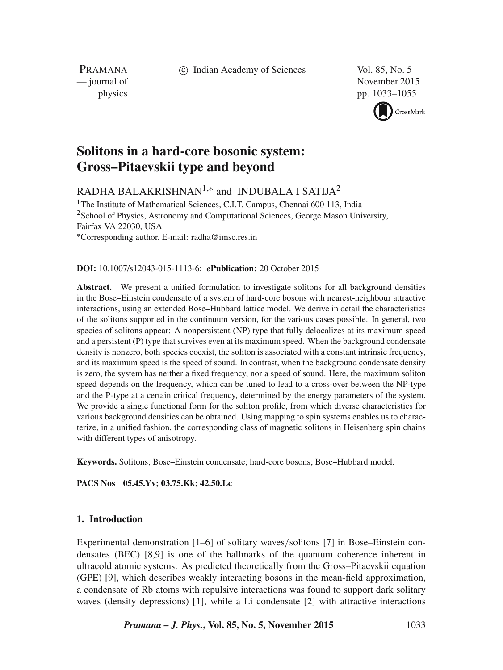c Indian Academy of Sciences Vol. 85, No. 5

PRAMANA<br>
— journal of

November 2015 physics pp. 1033–1055



# **Solitons in a hard-core bosonic system: Gross–Pitaevskii type and beyond**

RADHA BALAKRISHNAN $^{1,\ast}$  and <code>INDUBALA</code> I SATIJA $^2$ 

<sup>1</sup>The Institute of Mathematical Sciences, C.I.T. Campus, Chennai 600 113, India <sup>2</sup>School of Physics, Astronomy and Computational Sciences, George Mason University, Fairfax VA 22030, USA ∗Corresponding author. E-mail: radha@imsc.res.in

# **DOI:** 10.1007/s12043-015-1113-6; *e***Publication:** 20 October 2015

**Abstract.** We present a unified formulation to investigate solitons for all background densities in the Bose–Einstein condensate of a system of hard-core bosons with nearest-neighbour attractive interactions, using an extended Bose–Hubbard lattice model. We derive in detail the characteristics of the solitons supported in the continuum version, for the various cases possible. In general, two species of solitons appear: A nonpersistent (NP) type that fully delocalizes at its maximum speed and a persistent (P) type that survives even at its maximum speed. When the background condensate density is nonzero, both species coexist, the soliton is associated with a constant intrinsic frequency, and its maximum speed is the speed of sound. In contrast, when the background condensate density is zero, the system has neither a fixed frequency, nor a speed of sound. Here, the maximum soliton speed depends on the frequency, which can be tuned to lead to a cross-over between the NP-type and the P-type at a certain critical frequency, determined by the energy parameters of the system. We provide a single functional form for the soliton profile, from which diverse characteristics for various background densities can be obtained. Using mapping to spin systems enables us to characterize, in a unified fashion, the corresponding class of magnetic solitons in Heisenberg spin chains with different types of anisotropy.

**Keywords.** Solitons; Bose–Einstein condensate; hard-core bosons; Bose–Hubbard model.

**PACS Nos 05.45.Yv; 03.75.Kk; 42.50.Lc**

# **1. Introduction**

Experimental demonstration [1–6] of solitary waves/solitons [7] in Bose–Einstein condensates (BEC) [8,9] is one of the hallmarks of the quantum coherence inherent in ultracold atomic systems. As predicted theoretically from the Gross–Pitaevskii equation (GPE) [9], which describes weakly interacting bosons in the mean-field approximation, a condensate of Rb atoms with repulsive interactions was found to support dark solitary waves (density depressions) [1], while a Li condensate [2] with attractive interactions

*Pramana – J. Phys.***, Vol. 85, No. 5, November 2015** 1033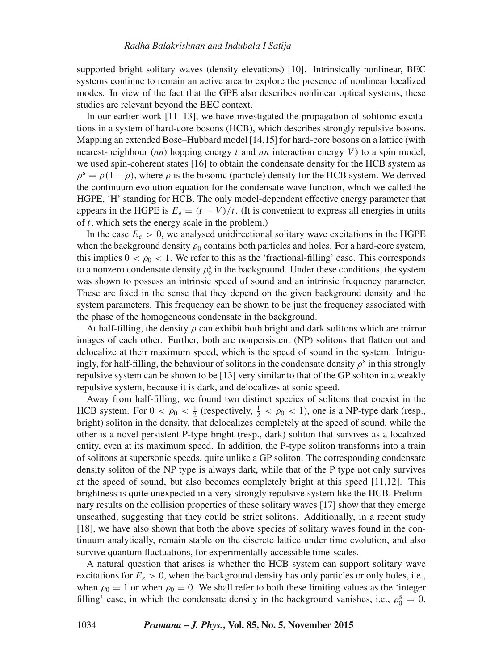supported bright solitary waves (density elevations) [10]. Intrinsically nonlinear, BEC systems continue to remain an active area to explore the presence of nonlinear localized modes. In view of the fact that the GPE also describes nonlinear optical systems, these studies are relevant beyond the BEC context.

In our earlier work [11–13], we have investigated the propagation of solitonic excitations in a system of hard-core bosons (HCB), which describes strongly repulsive bosons. Mapping an extended Bose–Hubbard model [14,15] for hard-core bosons on a lattice (with nearest-neighbour  $(nn)$  hopping energy t and nn interaction energy V) to a spin model, we used spin-coherent states [16] to obtain the condensate density for the HCB system as  $\rho^s = \rho(1 - \rho)$ , where  $\rho$  is the bosonic (particle) density for the HCB system. We derived the continuum evolution equation for the condensate wave function, which we called the HGPE, 'H' standing for HCB. The only model-dependent effective energy parameter that appears in the HGPE is  $E_e = (t - V)/t$ . (It is convenient to express all energies in units of  $t$ , which sets the energy scale in the problem.)

In the case  $E_e > 0$ , we analysed unidirectional solitary wave excitations in the HGPE when the background density  $\rho_0$  contains both particles and holes. For a hard-core system, this implies  $0 < \rho_0 < 1$ . We refer to this as the 'fractional-filling' case. This corresponds to a nonzero condensate density  $\rho_0^s$  in the background. Under these conditions, the system was shown to possess an intrinsic speed of sound and an intrinsic frequency parameter. These are fixed in the sense that they depend on the given background density and the system parameters. This frequency can be shown to be just the frequency associated with the phase of the homogeneous condensate in the background.

At half-filling, the density  $\rho$  can exhibit both bright and dark solitons which are mirror images of each other. Further, both are nonpersistent (NP) solitons that flatten out and delocalize at their maximum speed, which is the speed of sound in the system. Intriguingly, for half-filling, the behaviour of solitons in the condensate density  $\rho^s$  in this strongly repulsive system can be shown to be [13] very similar to that of the GP soliton in a weakly repulsive system, because it is dark, and delocalizes at sonic speed.

Away from half-filling, we found two distinct species of solitons that coexist in the HCB system. For  $0 < \rho_0 < \frac{1}{2}$  (respectively,  $\frac{1}{2} < \rho_0 < 1$ ), one is a NP-type dark (resp., bright) soliton in the density, that delocalizes completely at the speed of sound, while the other is a novel persistent P-type bright (resp., dark) soliton that survives as a localized entity, even at its maximum speed. In addition, the P-type soliton transforms into a train of solitons at supersonic speeds, quite unlike a GP soliton. The corresponding condensate density soliton of the NP type is always dark, while that of the P type not only survives at the speed of sound, but also becomes completely bright at this speed [11,12]. This brightness is quite unexpected in a very strongly repulsive system like the HCB. Preliminary results on the collision properties of these solitary waves [17] show that they emerge unscathed, suggesting that they could be strict solitons. Additionally, in a recent study [18], we have also shown that both the above species of solitary waves found in the continuum analytically, remain stable on the discrete lattice under time evolution, and also survive quantum fluctuations, for experimentally accessible time-scales.

A natural question that arises is whether the HCB system can support solitary wave excitations for  $E_e > 0$ , when the background density has only particles or only holes, i.e., when  $\rho_0 = 1$  or when  $\rho_0 = 0$ . We shall refer to both these limiting values as the 'integer filling' case, in which the condensate density in the background vanishes, i.e.,  $\rho_0^s = 0$ .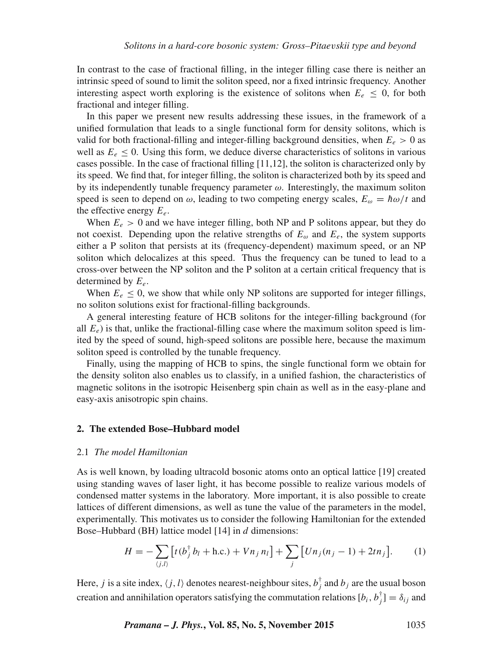In contrast to the case of fractional filling, in the integer filling case there is neither an intrinsic speed of sound to limit the soliton speed, nor a fixed intrinsic frequency. Another interesting aspect worth exploring is the existence of solitons when  $E_e \leq 0$ , for both fractional and integer filling.

In this paper we present new results addressing these issues, in the framework of a unified formulation that leads to a single functional form for density solitons, which is valid for both fractional-filling and integer-filling background densities, when  $E_e > 0$  as well as  $E_e \le 0$ . Using this form, we deduce diverse characteristics of solitons in various cases possible. In the case of fractional filling [11,12], the soliton is characterized only by its speed. We find that, for integer filling, the soliton is characterized both by its speed and by its independently tunable frequency parameter  $\omega$ . Interestingly, the maximum soliton speed is seen to depend on  $\omega$ , leading to two competing energy scales,  $E_{\omega} = \hbar \omega / t$  and the effective energy  $E_e$ .

When  $E_e > 0$  and we have integer filling, both NP and P solitons appear, but they do not coexist. Depending upon the relative strengths of  $E_{\omega}$  and  $E_{e}$ , the system supports either a P soliton that persists at its (frequency-dependent) maximum speed, or an NP soliton which delocalizes at this speed. Thus the frequency can be tuned to lead to a cross-over between the NP soliton and the P soliton at a certain critical frequency that is determined by  $E_e$ .

When  $E_e \le 0$ , we show that while only NP solitons are supported for integer fillings, no soliton solutions exist for fractional-filling backgrounds.

A general interesting feature of HCB solitons for the integer-filling background (for all  $E_e$ ) is that, unlike the fractional-filling case where the maximum soliton speed is limited by the speed of sound, high-speed solitons are possible here, because the maximum soliton speed is controlled by the tunable frequency.

Finally, using the mapping of HCB to spins, the single functional form we obtain for the density soliton also enables us to classify, in a unified fashion, the characteristics of magnetic solitons in the isotropic Heisenberg spin chain as well as in the easy-plane and easy-axis anisotropic spin chains.

### **2. The extended Bose–Hubbard model**

#### 2.1 *The model Hamiltonian*

As is well known, by loading ultracold bosonic atoms onto an optical lattice [19] created using standing waves of laser light, it has become possible to realize various models of condensed matter systems in the laboratory. More important, it is also possible to create lattices of different dimensions, as well as tune the value of the parameters in the model, experimentally. This motivates us to consider the following Hamiltonian for the extended Bose–Hubbard (BH) lattice model [14] in d dimensions:

$$
H = -\sum_{\langle j,l\rangle} \left[ t(b_j^{\dagger} b_l + \text{h.c.}) + V n_j n_l \right] + \sum_j \left[ U n_j (n_j - 1) + 2t n_j \right]. \tag{1}
$$

Here, j is a site index,  $\langle j,l \rangle$  denotes nearest-neighbour sites,  $b_j^{\dagger}$  and  $b_j$  are the usual boson creation and annihilation operators satisfying the commutation relations  $[b_i, b_j^{\dagger}] = \delta_{ij}$  and

*Pramana – J. Phys.***, Vol. 85, No. 5, November 2015** 1035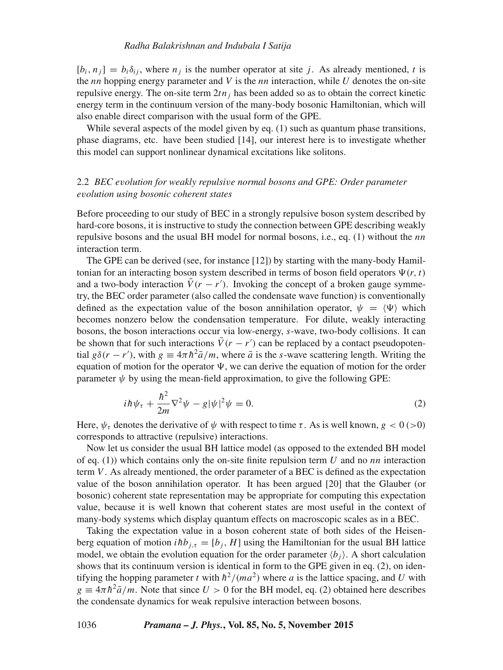$[b_i, n_j] = b_i \delta_{ij}$ , where  $n_j$  is the number operator at site j. As already mentioned, t is the *nn* hopping energy parameter and V is the *nn* interaction, while U denotes the on-site repulsive energy. The on-site term  $2tn_j$  has been added so as to obtain the correct kinetic energy term in the continuum version of the many-body bosonic Hamiltonian, which will also enable direct comparison with the usual form of the GPE.

While several aspects of the model given by eq. (1) such as quantum phase transitions, phase diagrams, etc. have been studied [14], our interest here is to investigate whether this model can support nonlinear dynamical excitations like solitons.

# 2.2 *BEC e*v*olution for weakly repulsi*v*e normal bosons and GPE: Order parameter e*v*olution using bosonic coherent states*

Before proceeding to our study of BEC in a strongly repulsive boson system described by hard-core bosons, it is instructive to study the connection between GPE describing weakly repulsive bosons and the usual BH model for normal bosons, i.e., eq.  $(1)$  without the nn interaction term.

The GPE can be derived (see, for instance [12]) by starting with the many-body Hamiltonian for an interacting boson system described in terms of boson field operators  $\Psi(r, t)$ and a two-body interaction  $V(r - r')$ . Invoking the concept of a broken gauge symmetry, the BEC order parameter (also called the condensate wave function) is conventionally defined as the expectation value of the boson annihilation operator,  $\psi = \langle \Psi \rangle$  which becomes nonzero below the condensation temperature. For dilute, weakly interacting bosons, the boson interactions occur via low-energy, s-wave, two-body collisions. It can be shown that for such interactions  $V(r - r')$  can be replaced by a contact pseudopotential  $g\delta(r - r')$ , with  $g \equiv 4\pi \hbar^2 \bar{a}/m$ , where  $\bar{a}$  is the s-wave scattering length. Writing the equation of motion for the operator  $\Psi$ , we can derive the equation of motion for the order parameter  $\psi$  by using the mean-field approximation, to give the following GPE:

$$
i\hbar\psi_{\tau} + \frac{\hbar^2}{2m}\nabla^2\psi - g|\psi|^2\psi = 0.
$$
 (2)

Here,  $\psi_{\tau}$  denotes the derivative of  $\psi$  with respect to time  $\tau$ . As is well known,  $g < 0$  (>0) corresponds to attractive (repulsive) interactions.

Now let us consider the usual BH lattice model (as opposed to the extended BH model of eq. (1)) which contains only the on-site finite repulsion term  $U$  and no nn interaction term  $V$ . As already mentioned, the order parameter of a BEC is defined as the expectation value of the boson annihilation operator. It has been argued [20] that the Glauber (or bosonic) coherent state representation may be appropriate for computing this expectation value, because it is well known that coherent states are most useful in the context of many-body systems which display quantum effects on macroscopic scales as in a BEC.

Taking the expectation value in a boson coherent state of both sides of the Heisenberg equation of motion  $i\hbar b_{j,\tau} = [b_j, H]$  using the Hamiltonian for the usual BH lattice model, we obtain the evolution equation for the order parameter  $\langle b_i \rangle$ . A short calculation shows that its continuum version is identical in form to the GPE given in eq. (2), on identifying the hopping parameter t with  $h^2/(ma^2)$  where a is the lattice spacing, and U with  $g \equiv 4\pi \hbar^2 \bar{a}/m$ . Note that since  $U > 0$  for the BH model, eq. (2) obtained here describes the condensate dynamics for weak repulsive interaction between bosons.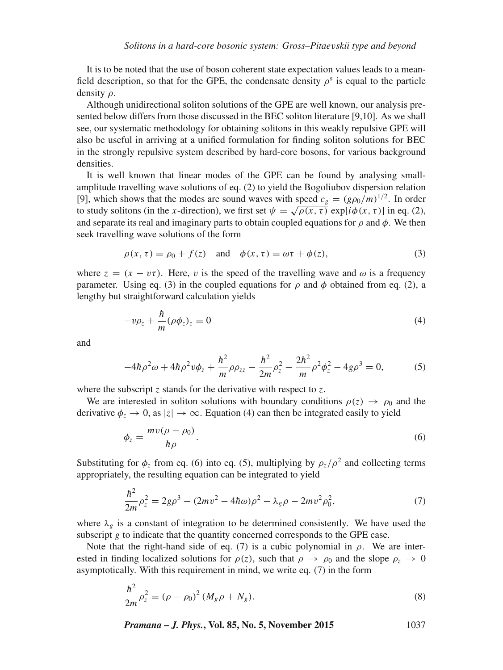It is to be noted that the use of boson coherent state expectation values leads to a meanfield description, so that for the GPE, the condensate density  $\rho^s$  is equal to the particle density ρ.

Although unidirectional soliton solutions of the GPE are well known, our analysis presented below differs from those discussed in the BEC soliton literature [9,10]. As we shall see, our systematic methodology for obtaining solitons in this weakly repulsive GPE will also be useful in arriving at a unified formulation for finding soliton solutions for BEC in the strongly repulsive system described by hard-core bosons, for various background densities.

It is well known that linear modes of the GPE can be found by analysing smallamplitude travelling wave solutions of eq. (2) to yield the Bogoliubov dispersion relation [9], which shows that the modes are sound waves with speed  $c_g = (g\rho_0/m)^{1/2}$ . In order to study solitons (in the x-direction), we first set  $\psi = \sqrt{\rho(x, \tau)} \exp[i\phi(x, \tau)]$  in eq. (2), and separate its real and imaginary parts to obtain coupled equations for  $\rho$  and  $\phi$ . We then seek travelling wave solutions of the form

$$
\rho(x,\tau) = \rho_0 + f(z) \quad \text{and} \quad \phi(x,\tau) = \omega\tau + \phi(z), \tag{3}
$$

where  $z = (x - v\tau)$ . Here, v is the speed of the travelling wave and  $\omega$  is a frequency parameter. Using eq. (3) in the coupled equations for  $\rho$  and  $\phi$  obtained from eq. (2), a lengthy but straightforward calculation yields

$$
-v\rho_z + \frac{\hbar}{m}(\rho\phi_z)_z = 0\tag{4}
$$

and

$$
-4\hbar \rho^2 \omega + 4\hbar \rho^2 v \phi_z + \frac{\hbar^2}{m} \rho \rho_{zz} - \frac{\hbar^2}{2m} \rho_z^2 - \frac{2\hbar^2}{m} \rho^2 \phi_z^2 - 4g \rho^3 = 0, \tag{5}
$$

where the subscript  $z$  stands for the derivative with respect to  $z$ .

We are interested in soliton solutions with boundary conditions  $\rho(z) \rightarrow \rho_0$  and the derivative  $\phi_z \to 0$ , as  $|z| \to \infty$ . Equation (4) can then be integrated easily to yield

$$
\phi_z = \frac{mv(\rho - \rho_0)}{\hbar \rho}.\tag{6}
$$

Substituting for  $\phi_z$  from eq. (6) into eq. (5), multiplying by  $\rho_z/\rho^2$  and collecting terms appropriately, the resulting equation can be integrated to yield

$$
\frac{\hbar^2}{2m}\rho_z^2 = 2g\rho^3 - (2mv^2 - 4\hbar\omega)\rho^2 - \lambda_g\rho - 2mv^2\rho_0^2,\tag{7}
$$

where  $\lambda_{\varrho}$  is a constant of integration to be determined consistently. We have used the subscript g to indicate that the quantity concerned corresponds to the GPE case.

Note that the right-hand side of eq. (7) is a cubic polynomial in  $\rho$ . We are interested in finding localized solutions for  $\rho(z)$ , such that  $\rho \to \rho_0$  and the slope  $\rho_z \to 0$ asymptotically. With this requirement in mind, we write eq. (7) in the form

$$
\frac{\hbar^2}{2m}\rho_z^2 = (\rho - \rho_0)^2 (M_g \rho + N_g).
$$
\n(8)

*Pramana – J. Phys.***, Vol. 85, No. 5, November 2015** 1037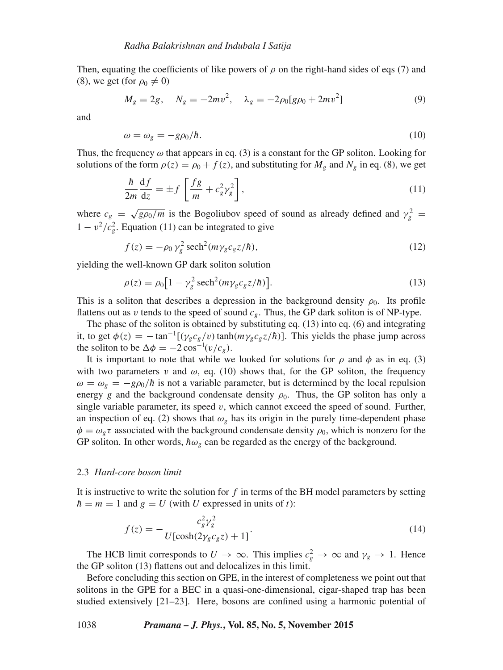Then, equating the coefficients of like powers of  $\rho$  on the right-hand sides of eqs (7) and (8), we get (for  $\rho_0 \neq 0$ )

$$
M_g = 2g, \quad N_g = -2mv^2, \quad \lambda_g = -2\rho_0[g\rho_0 + 2mv^2]
$$
\n(9)

and

$$
\omega = \omega_g = -g\rho_0/\hbar. \tag{10}
$$

Thus, the frequency  $\omega$  that appears in eq. (3) is a constant for the GP soliton. Looking for solutions of the form  $\rho(z) = \rho_0 + f(z)$ , and substituting for  $M_g$  and  $N_g$  in eq. (8), we get

$$
\frac{\hbar}{2m}\frac{\mathrm{d}f}{\mathrm{d}z} = \pm f \left[ \frac{fg}{m} + c_g^2 \gamma_g^2 \right],\tag{11}
$$

where  $c_g = \sqrt{g \rho_0/m}$  is the Bogoliubov speed of sound as already defined and  $\gamma_g^2 =$  $1 - v^2/c_g^2$ . Equation (11) can be integrated to give

$$
f(z) = -\rho_0 \gamma_g^2 \operatorname{sech}^2(m\gamma_g c_g z/\hbar),\tag{12}
$$

yielding the well-known GP dark soliton solution

$$
\rho(z) = \rho_0 \left[ 1 - \gamma_g^2 \operatorname{sech}^2(m \gamma_g c_g z / \hbar) \right]. \tag{13}
$$

This is a soliton that describes a depression in the background density  $\rho_0$ . Its profile flattens out as v tends to the speed of sound  $c_g$ . Thus, the GP dark soliton is of NP-type.

The phase of the soliton is obtained by substituting eq. (13) into eq. (6) and integrating it, to get  $\phi(z) = -\tan^{-1}[(\gamma_g c_g/v)\tanh(m\gamma_g c_g z/\hbar)]$ . This yields the phase jump across the soliton to be  $\Delta \phi = -2 \cos^{-1}(v/c_g)$ .

It is important to note that while we looked for solutions for  $\rho$  and  $\phi$  as in eq. (3) with two parameters v and  $\omega$ , eq. (10) shows that, for the GP soliton, the frequency  $\omega = \omega_{g} = -g\rho_{0}/\hbar$  is not a variable parameter, but is determined by the local repulsion energy g and the background condensate density  $\rho_0$ . Thus, the GP soliton has only a single variable parameter, its speed  $v$ , which cannot exceed the speed of sound. Further, an inspection of eq. (2) shows that  $\omega_g$  has its origin in the purely time-dependent phase  $\phi = \omega_g \tau$  associated with the background condensate density  $\rho_0$ , which is nonzero for the GP soliton. In other words,  $\hbar \omega_g$  can be regarded as the energy of the background.

### 2.3 *Hard-core boson limit*

It is instructive to write the solution for  $f$  in terms of the BH model parameters by setting  $\hbar = m = 1$  and  $g = U$  (with U expressed in units of t):

$$
f(z) = -\frac{c_g^2 \gamma_g^2}{U[\cosh(2\gamma_g c_g z) + 1]}.
$$
\n(14)

The HCB limit corresponds to  $U \to \infty$ . This implies  $c_g^2 \to \infty$  and  $\gamma_g \to 1$ . Hence the GP soliton (13) flattens out and delocalizes in this limit.

Before concluding this section on GPE, in the interest of completeness we point out that solitons in the GPE for a BEC in a quasi-one-dimensional, cigar-shaped trap has been studied extensively [21–23]. Here, bosons are confined using a harmonic potential of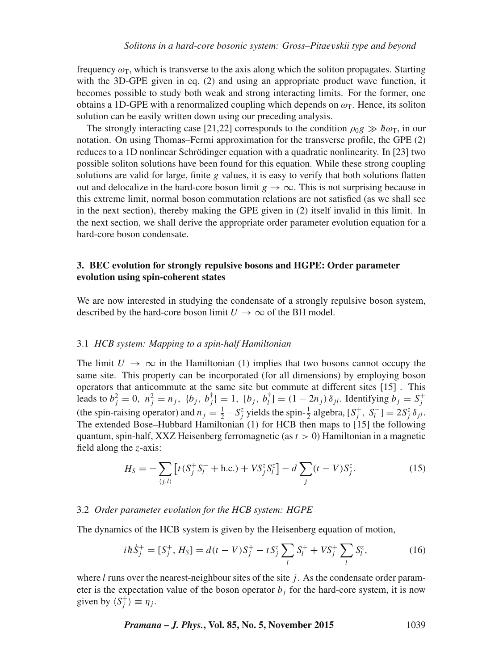frequency  $\omega_T$ , which is transverse to the axis along which the soliton propagates. Starting with the 3D-GPE given in eq. (2) and using an appropriate product wave function, it becomes possible to study both weak and strong interacting limits. For the former, one obtains a 1D-GPE with a renormalized coupling which depends on  $\omega_T$ . Hence, its soliton solution can be easily written down using our preceding analysis.

The strongly interacting case [21,22] corresponds to the condition  $\rho_0 g \gg \hbar \omega_T$ , in our notation. On using Thomas–Fermi approximation for the transverse profile, the GPE (2) reduces to a 1D nonlinear Schrödinger equation with a quadratic nonlinearity. In [23] two possible soliton solutions have been found for this equation. While these strong coupling solutions are valid for large, finite g values, it is easy to verify that both solutions flatten out and delocalize in the hard-core boson limit  $g \to \infty$ . This is not surprising because in this extreme limit, normal boson commutation relations are not satisfied (as we shall see in the next section), thereby making the GPE given in (2) itself invalid in this limit. In the next section, we shall derive the appropriate order parameter evolution equation for a hard-core boson condensate.

# **3. BEC evolution for strongly repulsive bosons and HGPE: Order parameter evolution using spin-coherent states**

We are now interested in studying the condensate of a strongly repulsive boson system, described by the hard-core boson limit  $U \rightarrow \infty$  of the BH model.

## 3.1 *HCB system: Mapping to a spin-half Hamiltonian*

The limit  $U \to \infty$  in the Hamiltonian (1) implies that two bosons cannot occupy the same site. This property can be incorporated (for all dimensions) by employing boson operators that anticommute at the same site but commute at different sites [15] . This leads to  $b_j^2 = 0$ ,  $n_j^2 = n_j$ ,  $\{b_j, b_j^{\dagger}\} = 1$ ,  $[b_j, b_l^{\dagger}] = (1 - 2n_j) \delta_{jl}$ . Identifying  $b_j = S_j^+$ (the spin-raising operator) and  $n_j = \frac{1}{2} - S_j^z$  yields the spin- $\frac{1}{2}$  algebra,  $[S_j^+, S_l^-] = 2S_j^z \delta_{jl}$ . The extended Bose–Hubbard Hamiltonian (1) for HCB then maps to [15] the following quantum, spin-half, XXZ Heisenberg ferromagnetic (as  $t > 0$ ) Hamiltonian in a magnetic field along the z-axis:

$$
H_S = -\sum_{\langle j,l\rangle} \left[ t(S_j^+ S_l^- + \text{h.c.}) + VS_j^z S_l^z \right] - d \sum_j (t - V) S_j^z. \tag{15}
$$

### 3.2 *Order parameter e*v*olution for the HCB system: HGPE*

The dynamics of the HCB system is given by the Heisenberg equation of motion,

$$
i\hbar \dot{S}_j^+ = [S_j^+, H_S] = d(t - V)S_j^+ - tS_j^z \sum_l S_l^+ + VS_j^+ \sum_l S_l^z,
$$
 (16)

where  $l$  runs over the nearest-neighbour sites of the site  $j$ . As the condensate order parameter is the expectation value of the boson operator  $b_j$  for the hard-core system, it is now given by  $\langle S_j^+ \rangle \equiv \eta_j$ .

*Pramana – J. Phys.***, Vol. 85, No. 5, November 2015** 1039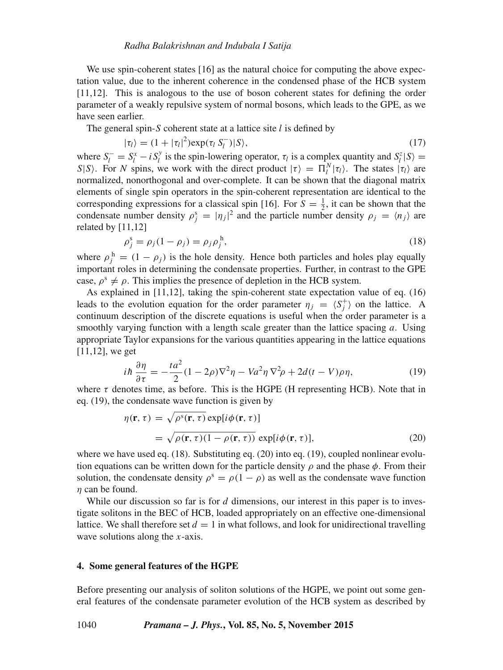We use spin-coherent states [16] as the natural choice for computing the above expectation value, due to the inherent coherence in the condensed phase of the HCB system [11,12]. This is analogous to the use of boson coherent states for defining the order parameter of a weakly repulsive system of normal bosons, which leads to the GPE, as we have seen earlier.

The general spin- $S$  coherent state at a lattice site  $l$  is defined by

$$
|\tau_l\rangle = (1 + |\tau_l|^2) \exp(\tau_l S_l^-) |S\rangle, \qquad (17)
$$

where  $S_l^- = S_l^x - i S_l^y$  is the spin-lowering operator,  $\tau_l$  is a complex quantity and  $S_l^z | S \rangle =$ S|S). For N spins, we work with the direct product  $|\tau\rangle = \Pi_l^N |\tau_l\rangle$ . The states  $|\tau_l\rangle$  are normalized, nonorthogonal and over-complete. It can be shown that the diagonal matrix elements of single spin operators in the spin-coherent representation are identical to the corresponding expressions for a classical spin [16]. For  $S = \frac{1}{2}$ , it can be shown that the condensate number density  $\rho_j^s = |\eta_j|^2$  and the particle number density  $\rho_j = \langle n_j \rangle$  are related by [11,12]

$$
\rho_j^s = \rho_j (1 - \rho_j) = \rho_j \rho_j^h,\tag{18}
$$

where  $\rho_j^{\text{h}} = (1 - \rho_j)$  is the hole density. Hence both particles and holes play equally important roles in determining the condensate properties. Further, in contrast to the GPE case,  $\rho^s \neq \rho$ . This implies the presence of depletion in the HCB system.

As explained in [11,12], taking the spin-coherent state expectation value of eq. (16) leads to the evolution equation for the order parameter  $\eta_j = \langle S_j^+ \rangle$  on the lattice. A continuum description of the discrete equations is useful when the order parameter is a smoothly varying function with a length scale greater than the lattice spacing  $a$ . Using appropriate Taylor expansions for the various quantities appearing in the lattice equations [11,12], we get

$$
i\hbar \frac{\partial \eta}{\partial \tau} = -\frac{t a^2}{2} (1 - 2\rho) \nabla^2 \eta - V a^2 \eta \nabla^2 \rho + 2d(t - V)\rho \eta,\tag{19}
$$

where  $\tau$  denotes time, as before. This is the HGPE (H representing HCB). Note that in eq. (19), the condensate wave function is given by

$$
\eta(\mathbf{r}, \tau) = \sqrt{\rho^{s}(\mathbf{r}, \tau)} \exp[i\phi(\mathbf{r}, \tau)]
$$
  
=  $\sqrt{\rho(\mathbf{r}, \tau)(1 - \rho(\mathbf{r}, \tau))} \exp[i\phi(\mathbf{r}, \tau)],$  (20)

where we have used eq. (18). Substituting eq. (20) into eq. (19), coupled nonlinear evolution equations can be written down for the particle density  $\rho$  and the phase  $\phi$ . From their solution, the condensate density  $\rho^s = \rho(1 - \rho)$  as well as the condensate wave function  $\eta$  can be found.

While our discussion so far is for  $d$  dimensions, our interest in this paper is to investigate solitons in the BEC of HCB, loaded appropriately on an effective one-dimensional lattice. We shall therefore set  $d = 1$  in what follows, and look for unidirectional travelling wave solutions along the  $x$ -axis.

#### **4. Some general features of the HGPE**

Before presenting our analysis of soliton solutions of the HGPE, we point out some general features of the condensate parameter evolution of the HCB system as described by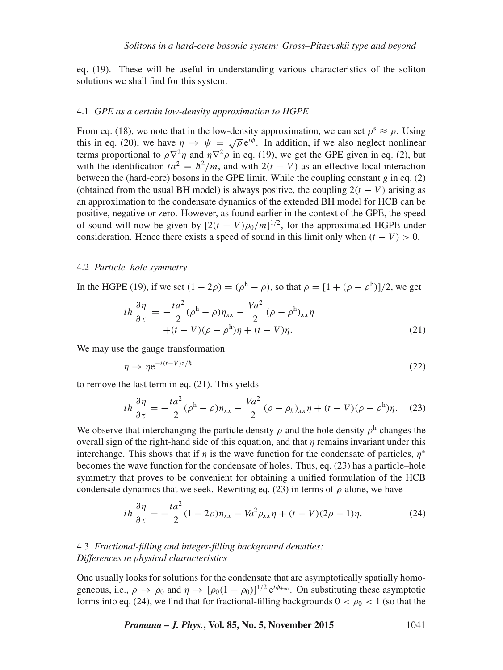eq. (19). These will be useful in understanding various characteristics of the soliton solutions we shall find for this system.

#### 4.1 *GPE as a certain low-density approximation to HGPE*

From eq. (18), we note that in the low-density approximation, we can set  $\rho^s \approx \rho$ . Using this in eq. (20), we have  $\eta \to \psi = \sqrt{\rho} e^{i\phi}$ . In addition, if we also neglect nonlinear terms proportional to  $\rho \nabla^2 \eta$  and  $\eta \nabla^2 \rho$  in eq. (19), we get the GPE given in eq. (2), but with the identification  $ta^2 = \hbar^2/m$ , and with  $2(t - V)$  as an effective local interaction between the (hard-core) bosons in the GPE limit. While the coupling constant g in eq.  $(2)$ (obtained from the usual BH model) is always positive, the coupling  $2(t - V)$  arising as an approximation to the condensate dynamics of the extended BH model for HCB can be positive, negative or zero. However, as found earlier in the context of the GPE, the speed of sound will now be given by  $[2(t - V)\rho_0/m]^{1/2}$ , for the approximated HGPE under consideration. Hence there exists a speed of sound in this limit only when  $(t - V) > 0$ .

#### 4.2 *Particle–hole symmetry*

In the HGPE (19), if we set  $(1 - 2\rho) = (\rho^h - \rho)$ , so that  $\rho = [1 + (\rho - \rho^h)]/2$ , we get

$$
i\hbar \frac{\partial \eta}{\partial \tau} = -\frac{ta^2}{2} (\rho^{\text{h}} - \rho) \eta_{xx} - \frac{Va^2}{2} (\rho - \rho^{\text{h}})_{xx} \eta
$$
  
 
$$
+ (t - V)(\rho - \rho^{\text{h}}) \eta + (t - V)\eta.
$$
 (21)

We may use the gauge transformation

$$
\eta \to \eta e^{-i(t-V)\tau/\hbar} \tag{22}
$$

to remove the last term in eq. (21). This yields

$$
i\hbar \frac{\partial \eta}{\partial \tau} = -\frac{t a^2}{2} (\rho^{\text{h}} - \rho) \eta_{xx} - \frac{V a^2}{2} (\rho - \rho_h)_{xx} \eta + (t - V)(\rho - \rho^{\text{h}}) \eta. \tag{23}
$$

We observe that interchanging the particle density  $\rho$  and the hole density  $\rho^h$  changes the overall sign of the right-hand side of this equation, and that  $\eta$  remains invariant under this interchange. This shows that if  $\eta$  is the wave function for the condensate of particles,  $\eta^*$ becomes the wave function for the condensate of holes. Thus, eq. (23) has a particle–hole symmetry that proves to be convenient for obtaining a unified formulation of the HCB condensate dynamics that we seek. Rewriting eq. (23) in terms of  $\rho$  alone, we have

$$
i\hbar \frac{\partial \eta}{\partial \tau} = -\frac{t a^2}{2} (1 - 2\rho) \eta_{xx} - V a^2 \rho_{xx} \eta + (t - V)(2\rho - 1)\eta. \tag{24}
$$

# 4.3 *Fractional-filling and integer-filling background densities: Differences in physical characteristics*

One usually looks for solutions for the condensate that are asymptotically spatially homogeneous, i.e.,  $\rho \to \rho_0$  and  $\eta \to [\rho_0(1-\rho_0)]^{1/2} e^{i\phi_{\pm\infty}}$ . On substituting these asymptotic forms into eq. (24), we find that for fractional-filling backgrounds  $0 < \rho_0 < 1$  (so that the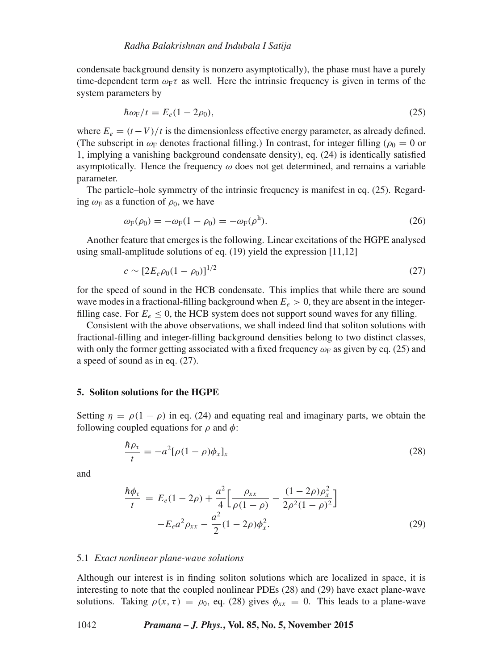condensate background density is nonzero asymptotically), the phase must have a purely time-dependent term  $\omega_F \tau$  as well. Here the intrinsic frequency is given in terms of the system parameters by

$$
\hbar\omega_{\rm F}/t = E_e(1 - 2\rho_0),\tag{25}
$$

where  $E_e = (t - V)/t$  is the dimensionless effective energy parameter, as already defined. (The subscript in  $\omega_F$  denotes fractional filling.) In contrast, for integer filling ( $\rho_0 = 0$  or 1, implying a vanishing background condensate density), eq. (24) is identically satisfied asymptotically. Hence the frequency  $\omega$  does not get determined, and remains a variable parameter.

The particle–hole symmetry of the intrinsic frequency is manifest in eq. (25). Regarding  $\omega_F$  as a function of  $\rho_0$ , we have

$$
\omega_{\mathcal{F}}(\rho_0) = -\omega_{\mathcal{F}}(1 - \rho_0) = -\omega_{\mathcal{F}}(\rho^{\mathsf{h}}).
$$
\n(26)

Another feature that emerges is the following. Linear excitations of the HGPE analysed using small-amplitude solutions of eq. (19) yield the expression [11,12]

$$
c \sim [2E_e \rho_0 (1 - \rho_0)]^{1/2} \tag{27}
$$

for the speed of sound in the HCB condensate. This implies that while there are sound wave modes in a fractional-filling background when  $E_e > 0$ , they are absent in the integerfilling case. For  $E_e \leq 0$ , the HCB system does not support sound waves for any filling.

Consistent with the above observations, we shall indeed find that soliton solutions with fractional-filling and integer-filling background densities belong to two distinct classes, with only the former getting associated with a fixed frequency  $\omega_F$  as given by eq. (25) and a speed of sound as in eq. (27).

# **5. Soliton solutions for the HGPE**

Setting  $\eta = \rho(1 - \rho)$  in eq. (24) and equating real and imaginary parts, we obtain the following coupled equations for  $\rho$  and  $\phi$ :

$$
\frac{\hbar \rho_{\tau}}{t} = -a^2 [\rho (1 - \rho) \phi_x]_x \tag{28}
$$

and

$$
\frac{\hbar \phi_{\tau}}{t} = E_e (1 - 2\rho) + \frac{a^2}{4} \Big[ \frac{\rho_{xx}}{\rho (1 - \rho)} - \frac{(1 - 2\rho)\rho_x^2}{2\rho^2 (1 - \rho)^2} \Big] \n- E_e a^2 \rho_{xx} - \frac{a^2}{2} (1 - 2\rho) \phi_x^2.
$$
\n(29)

#### 5.1 *Exact nonlinear plane-wa*v*e solutions*

Although our interest is in finding soliton solutions which are localized in space, it is interesting to note that the coupled nonlinear PDEs (28) and (29) have exact plane-wave solutions. Taking  $\rho(x, \tau) = \rho_0$ , eq. (28) gives  $\phi_{xx} = 0$ . This leads to a plane-wave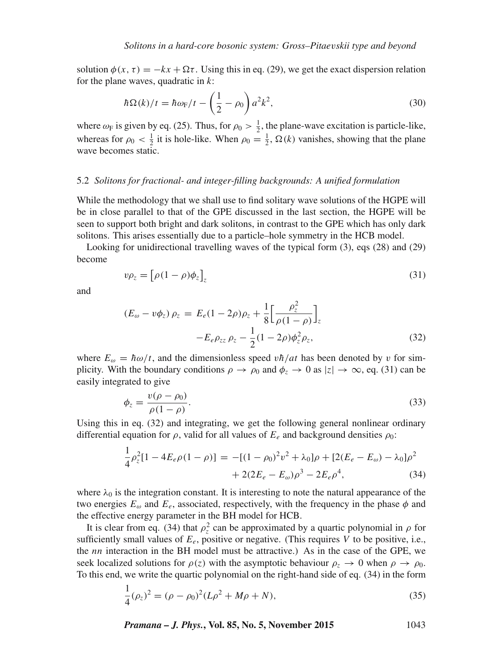solution  $\phi(x, \tau) = -kx + \Omega \tau$ . Using this in eq. (29), we get the exact dispersion relation for the plane waves, quadratic in  $k$ :

$$
\hbar\Omega(k)/t = \hbar\omega_{\rm F}/t - \left(\frac{1}{2} - \rho_0\right)a^2k^2,\tag{30}
$$

where  $\omega_F$  is given by eq. (25). Thus, for  $\rho_0 > \frac{1}{2}$ , the plane-wave excitation is particle-like, whereas for  $\rho_0 < \frac{1}{2}$  it is hole-like. When  $\rho_0 = \frac{1}{2}$ ,  $\Omega(k)$  vanishes, showing that the plane wave becomes static.

## 5.2 *Solitons for fractional- and integer-filling backgrounds: A unified formulation*

While the methodology that we shall use to find solitary wave solutions of the HGPE will be in close parallel to that of the GPE discussed in the last section, the HGPE will be seen to support both bright and dark solitons, in contrast to the GPE which has only dark solitons. This arises essentially due to a particle–hole symmetry in the HCB model.

Looking for unidirectional travelling waves of the typical form (3), eqs (28) and (29) become

$$
v\rho_z = \left[\rho(1-\rho)\phi_z\right]_z\tag{31}
$$

and

$$
(E_{\omega} - v\phi_z)\,\rho_z = E_e(1 - 2\rho)\rho_z + \frac{1}{8} \Big[\frac{\rho_z^2}{\rho(1 - \rho)}\Big]_z
$$

$$
-E_e\rho_{zz}\,\rho_z - \frac{1}{2}(1 - 2\rho)\phi_z^2\rho_z,
$$
(32)

where  $E_{\omega} = \hbar \omega / t$ , and the dimensionless speed  $v \hbar / at$  has been denoted by v for simplicity. With the boundary conditions  $\rho \to \rho_0$  and  $\phi_z \to 0$  as  $|z| \to \infty$ , eq. (31) can be easily integrated to give

$$
\phi_z = \frac{v(\rho - \rho_0)}{\rho(1 - \rho)}.\tag{33}
$$

Using this in eq. (32) and integrating, we get the following general nonlinear ordinary differential equation for  $\rho$ , valid for all values of  $E_e$  and background densities  $\rho_0$ :

$$
\frac{1}{4}\rho_z^2[1 - 4E_e\rho(1 - \rho)] = -[(1 - \rho_0)^2v^2 + \lambda_0]\rho + [2(E_e - E_\omega) - \lambda_0]\rho^2
$$

$$
+ 2(2E_e - E_\omega)\rho^3 - 2E_e\rho^4, \tag{34}
$$

where  $\lambda_0$  is the integration constant. It is interesting to note the natural appearance of the two energies  $E_{\omega}$  and  $E_{e}$ , associated, respectively, with the frequency in the phase  $\phi$  and the effective energy parameter in the BH model for HCB.

It is clear from eq. (34) that  $\rho_z^2$  can be approximated by a quartic polynomial in  $\rho$  for sufficiently small values of  $E_e$ , positive or negative. (This requires V to be positive, i.e., the nn interaction in the BH model must be attractive.) As in the case of the GPE, we seek localized solutions for  $\rho(z)$  with the asymptotic behaviour  $\rho_z \to 0$  when  $\rho \to \rho_0$ . To this end, we write the quartic polynomial on the right-hand side of eq. (34) in the form

$$
\frac{1}{4}(\rho_z)^2 = (\rho - \rho_0)^2 (L\rho^2 + M\rho + N),\tag{35}
$$

*Pramana – J. Phys.***, Vol. 85, No. 5, November 2015** 1043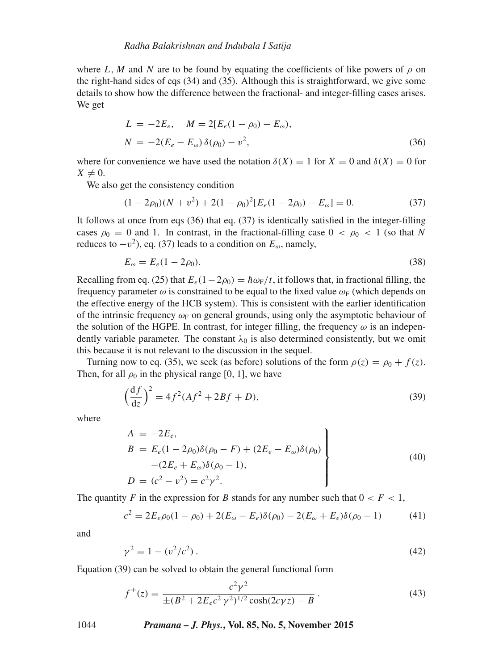where L, M and N are to be found by equating the coefficients of like powers of  $\rho$  on the right-hand sides of eqs  $(34)$  and  $(35)$ . Although this is straightforward, we give some details to show how the difference between the fractional- and integer-filling cases arises. We get

$$
L = -2E_e, \quad M = 2[E_e(1 - \rho_0) - E_\omega),
$$
  

$$
N = -2(E_e - E_\omega) \delta(\rho_0) - v^2,
$$
 (36)

where for convenience we have used the notation  $\delta(X) = 1$  for  $X = 0$  and  $\delta(X) = 0$  for  $X \neq 0$ .

We also get the consistency condition

$$
(1 - 2\rho_0)(N + v^2) + 2(1 - \rho_0)^2 [E_e(1 - 2\rho_0) - E_\omega] = 0.
$$
 (37)

It follows at once from eqs (36) that eq. (37) is identically satisfied in the integer-filling cases  $\rho_0 = 0$  and 1. In contrast, in the fractional-filling case  $0 < \rho_0 < 1$  (so that N reduces to  $-v^2$ ), eq. (37) leads to a condition on  $E_{\omega}$ , namely,

$$
E_{\omega} = E_e (1 - 2\rho_0).
$$
 (38)

Recalling from eq. (25) that  $E_e(1-2\rho_0) = \hbar \omega_F/t$ , it follows that, in fractional filling, the frequency parameter  $\omega$  is constrained to be equal to the fixed value  $\omega_F$  (which depends on the effective energy of the HCB system). This is consistent with the earlier identification of the intrinsic frequency  $\omega_F$  on general grounds, using only the asymptotic behaviour of the solution of the HGPE. In contrast, for integer filling, the frequency  $\omega$  is an independently variable parameter. The constant  $\lambda_0$  is also determined consistently, but we omit this because it is not relevant to the discussion in the sequel.

Turning now to eq. (35), we seek (as before) solutions of the form  $\rho(z) = \rho_0 + f(z)$ . Then, for all  $\rho_0$  in the physical range [0, 1], we have

$$
\left(\frac{df}{dz}\right)^2 = 4f^2(Af^2 + 2Bf + D),\tag{39}
$$

where

$$
A = -2E_e,
$$
  
\n
$$
B = E_e(1 - 2\rho_0)\delta(\rho_0 - F) + (2E_e - E_\omega)\delta(\rho_0)
$$
  
\n
$$
- (2E_e + E_\omega)\delta(\rho_0 - 1),
$$
  
\n
$$
D = (c^2 - v^2) = c^2\gamma^2.
$$
\n(40)

The quantity F in the expression for B stands for any number such that  $0 < F < 1$ ,

$$
c^{2} = 2E_{e}\rho_{0}(1-\rho_{0}) + 2(E_{\omega} - E_{e})\delta(\rho_{0}) - 2(E_{\omega} + E_{e})\delta(\rho_{0} - 1)
$$
(41)

and

$$
\gamma^2 = 1 - (v^2/c^2). \tag{42}
$$

Equation (39) can be solved to obtain the general functional form

$$
f^{\pm}(z) = \frac{c^2 \gamma^2}{\pm (B^2 + 2E_e c^2 \gamma^2)^{1/2} \cosh(2c\gamma z) - B}.
$$
 (43)

1044 *Pramana – J. Phys.***, Vol. 85, No. 5, November 2015**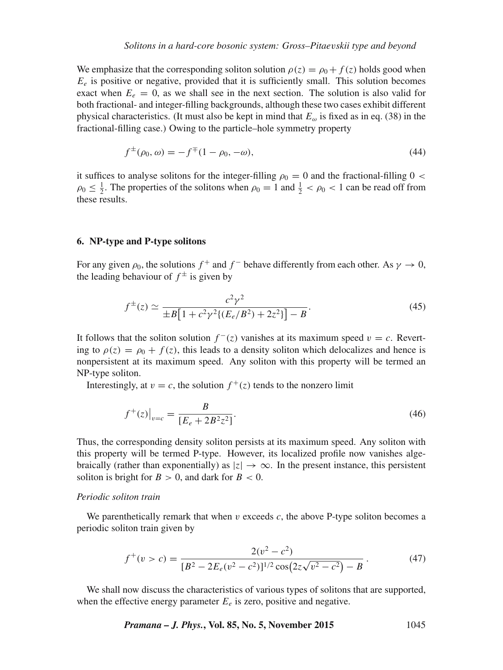We emphasize that the corresponding soliton solution  $\rho(z) = \rho_0 + f(z)$  holds good when  $E_e$  is positive or negative, provided that it is sufficiently small. This solution becomes exact when  $E_e = 0$ , as we shall see in the next section. The solution is also valid for both fractional- and integer-filling backgrounds, although these two cases exhibit different physical characteristics. (It must also be kept in mind that  $E_{\omega}$  is fixed as in eq. (38) in the fractional-filling case.) Owing to the particle–hole symmetry property

$$
f^{\pm}(\rho_0, \omega) = -f^{\mp}(1 - \rho_0, -\omega), \tag{44}
$$

it suffices to analyse solitons for the integer-filling  $\rho_0 = 0$  and the fractional-filling  $0 <$  $\rho_0 \leq \frac{1}{2}$ . The properties of the solitons when  $\rho_0 = 1$  and  $\frac{1}{2} < \rho_0 < 1$  can be read off from these results.

#### **6. NP-type and P-type solitons**

For any given  $\rho_0$ , the solutions  $f^+$  and  $f^-$  behave differently from each other. As  $\gamma \to 0$ , the leading behaviour of  $f^{\pm}$  is given by

$$
f^{\pm}(z) \simeq \frac{c^2 \gamma^2}{\pm B \left[ 1 + c^2 \gamma^2 \{ (E_e/B^2) + 2z^2 \} \right] - B}.
$$
\n(45)

It follows that the soliton solution  $f^-(z)$  vanishes at its maximum speed  $v = c$ . Reverting to  $\rho(z) = \rho_0 + f(z)$ , this leads to a density soliton which delocalizes and hence is nonpersistent at its maximum speed. Any soliton with this property will be termed an NP-type soliton.

Interestingly, at  $v = c$ , the solution  $f^+(z)$  tends to the nonzero limit

$$
f^{+}(z)|_{v=c} = \frac{B}{[E_e + 2B^2 z^2]}.
$$
\n(46)

Thus, the corresponding density soliton persists at its maximum speed. Any soliton with this property will be termed P-type. However, its localized profile now vanishes algebraically (rather than exponentially) as  $|z| \to \infty$ . In the present instance, this persistent soliton is bright for  $B > 0$ , and dark for  $B < 0$ .

# *Periodic soliton train*

We parenthetically remark that when  $\nu$  exceeds  $c$ , the above P-type soliton becomes a periodic soliton train given by

$$
f^+(v>c) = \frac{2(v^2 - c^2)}{[B^2 - 2E_e(v^2 - c^2)]^{1/2}\cos(2z\sqrt{v^2 - c^2}) - B}.
$$
\n(47)

We shall now discuss the characteristics of various types of solitons that are supported, when the effective energy parameter  $E_e$  is zero, positive and negative.

*Pramana – J. Phys.***, Vol. 85, No. 5, November 2015** 1045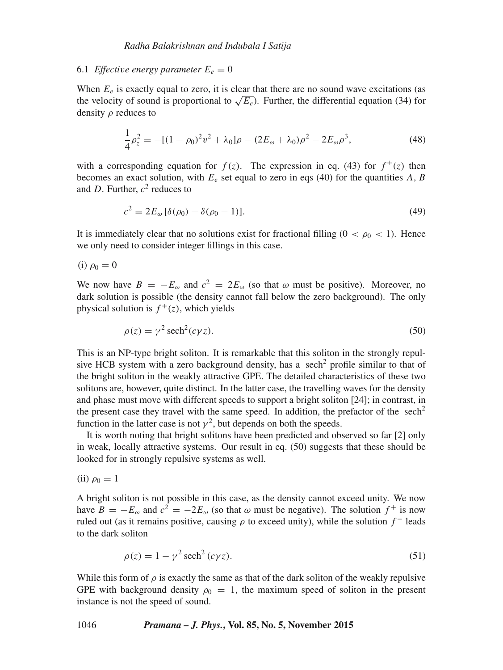#### 6.1 *Effective energy parameter*  $E_e = 0$

When  $E_e$  is exactly equal to zero, it is clear that there are no sound wave excitations (as the velocity of sound is proportional to  $\sqrt{E_e}$ ). Further, the differential equation (34) for density ρ reduces to

$$
\frac{1}{4}\rho_z^2 = -[(1-\rho_0)^2v^2 + \lambda_0]\rho - (2E_\omega + \lambda_0)\rho^2 - 2E_\omega\rho^3,
$$
\n(48)

with a corresponding equation for  $f(z)$ . The expression in eq. (43) for  $f^{\pm}(z)$  then becomes an exact solution, with  $E_e$  set equal to zero in eqs (40) for the quantities A, B and D. Further,  $c^2$  reduces to

$$
c^2 = 2E_{\omega} [\delta(\rho_0) - \delta(\rho_0 - 1)].
$$
\n(49)

It is immediately clear that no solutions exist for fractional filling  $(0 < \rho_0 < 1)$ . Hence we only need to consider integer fillings in this case.

(i) 
$$
\rho_0 = 0
$$

We now have  $B = -E_{\omega}$  and  $c^2 = 2E_{\omega}$  (so that  $\omega$  must be positive). Moreover, no dark solution is possible (the density cannot fall below the zero background). The only physical solution is  $f^+(z)$ , which yields

$$
\rho(z) = \gamma^2 \operatorname{sech}^2(c\gamma z). \tag{50}
$$

This is an NP-type bright soliton. It is remarkable that this soliton in the strongly repulsive HCB system with a zero background density, has a sech<sup>2</sup> profile similar to that of the bright soliton in the weakly attractive GPE. The detailed characteristics of these two solitons are, however, quite distinct. In the latter case, the travelling waves for the density and phase must move with different speeds to support a bright soliton [24]; in contrast, in the present case they travel with the same speed. In addition, the prefactor of the sech<sup>2</sup> function in the latter case is not  $\gamma^2$ , but depends on both the speeds.

It is worth noting that bright solitons have been predicted and observed so far [2] only in weak, locally attractive systems. Our result in eq. (50) suggests that these should be looked for in strongly repulsive systems as well.

(ii)  $\rho_0 = 1$ 

A bright soliton is not possible in this case, as the density cannot exceed unity. We now have  $B = -E_{\omega}$  and  $c^2 = -2E_{\omega}$  (so that  $\omega$  must be negative). The solution  $f^+$  is now ruled out (as it remains positive, causing  $\rho$  to exceed unity), while the solution  $f^-$  leads to the dark soliton

$$
\rho(z) = 1 - \gamma^2 \operatorname{sech}^2(c\gamma z). \tag{51}
$$

While this form of  $\rho$  is exactly the same as that of the dark soliton of the weakly repulsive GPE with background density  $\rho_0 = 1$ , the maximum speed of soliton in the present instance is not the speed of sound.

#### 1046 *Pramana – J. Phys.***, Vol. 85, No. 5, November 2015**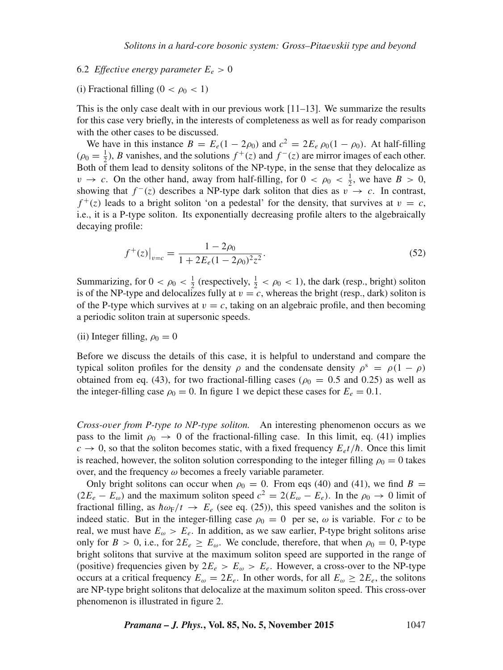#### 6.2 *Effective energy parameter*  $E_e > 0$

# (i) Fractional filling ( $0 < \rho_0 < 1$ )

This is the only case dealt with in our previous work  $[11–13]$ . We summarize the results for this case very briefly, in the interests of completeness as well as for ready comparison with the other cases to be discussed.

We have in this instance  $B = E_e(1 - 2\rho_0)$  and  $c^2 = 2E_e \rho_0(1 - \rho_0)$ . At half-filling  $(\rho_0 = \frac{1}{2})$ , B vanishes, and the solutions  $f^+(z)$  and  $f^-(z)$  are mirror images of each other. Both of them lead to density solitons of the NP-type, in the sense that they delocalize as  $v \to c$ . On the other hand, away from half-filling, for  $0 < \rho_0 < \frac{1}{2}$ , we have  $B > 0$ , showing that  $f^{-}(z)$  describes a NP-type dark soliton that dies as  $v \to c$ . In contrast,  $f^+(z)$  leads to a bright soliton 'on a pedestal' for the density, that survives at  $v = c$ , i.e., it is a P-type soliton. Its exponentially decreasing profile alters to the algebraically decaying profile:

$$
f^{+}(z)|_{v=c} = \frac{1 - 2\rho_0}{1 + 2E_e(1 - 2\rho_0)^2 z^2}.
$$
\n(52)

Summarizing, for  $0 < \rho_0 < \frac{1}{2}$  (respectively,  $\frac{1}{2} < \rho_0 < 1$ ), the dark (resp., bright) soliton is of the NP-type and delocalizes fully at  $v = c$ , whereas the bright (resp., dark) soliton is of the P-type which survives at  $v = c$ , taking on an algebraic profile, and then becoming a periodic soliton train at supersonic speeds.

(ii) Integer filling,  $\rho_0 = 0$ 

Before we discuss the details of this case, it is helpful to understand and compare the typical soliton profiles for the density  $\rho$  and the condensate density  $\rho^s = \rho(1 - \rho)$ obtained from eq. (43), for two fractional-filling cases ( $\rho_0 = 0.5$  and 0.25) as well as the integer-filling case  $\rho_0 = 0$ . In figure 1 we depict these cases for  $E_e = 0.1$ .

*Cross-o*v*er from P-type to NP-type soliton.* An interesting phenomenon occurs as we pass to the limit  $\rho_0 \to 0$  of the fractional-filling case. In this limit, eq. (41) implies  $c \to 0$ , so that the soliton becomes static, with a fixed frequency  $E_e t/\hbar$ . Once this limit is reached, however, the soliton solution corresponding to the integer filling  $\rho_0 = 0$  takes over, and the frequency  $\omega$  becomes a freely variable parameter.

Only bright solitons can occur when  $\rho_0 = 0$ . From eqs (40) and (41), we find  $B =$  $(2E_e - E_{\omega})$  and the maximum soliton speed  $c^2 = 2(E_{\omega} - E_e)$ . In the  $\rho_0 \to 0$  limit of fractional filling, as  $\hbar \omega_F/t \to E_e$  (see eq. (25)), this speed vanishes and the soliton is indeed static. But in the integer-filling case  $\rho_0 = 0$  per se,  $\omega$  is variable. For c to be real, we must have  $E_{\omega} > E_e$ . In addition, as we saw earlier, P-type bright solitons arise only for  $B > 0$ , i.e., for  $2E_e \ge E_{\omega}$ . We conclude, therefore, that when  $\rho_0 = 0$ , P-type bright solitons that survive at the maximum soliton speed are supported in the range of (positive) frequencies given by  $2E_e > E_\omega > E_e$ . However, a cross-over to the NP-type occurs at a critical frequency  $E_{\omega} = 2E_e$ . In other words, for all  $E_{\omega} \geq 2E_e$ , the solitons are NP-type bright solitons that delocalize at the maximum soliton speed. This cross-over phenomenon is illustrated in figure 2.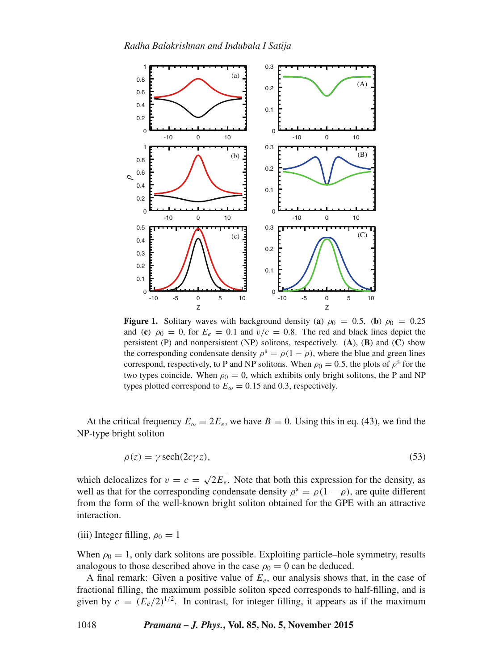

**Figure 1.** Solitary waves with background density (**a**)  $\rho_0 = 0.5$ , (**b**)  $\rho_0 = 0.25$ and (**c**)  $\rho_0 = 0$ , for  $E_e = 0.1$  and  $v/c = 0.8$ . The red and black lines depict the persistent (P) and nonpersistent (NP) solitons, respectively. (**A**), (**B**) and (**C**) show the corresponding condensate density  $\rho^s = \rho(1-\rho)$ , where the blue and green lines correspond, respectively, to P and NP solitons. When  $\rho_0 = 0.5$ , the plots of  $\rho^s$  for the two types coincide. When  $\rho_0 = 0$ , which exhibits only bright solitons, the P and NP types plotted correspond to  $E_{\omega} = 0.15$  and 0.3, respectively.

At the critical frequency  $E_{\omega} = 2E_e$ , we have  $B = 0$ . Using this in eq. (43), we find the NP-type bright soliton

$$
\rho(z) = \gamma \operatorname{sech}(2c\gamma z),\tag{53}
$$

which delocalizes for  $v = c = \sqrt{2E_e}$ . Note that both this expression for the density, as well as that for the corresponding condensate density  $\rho^s = \rho(1 - \rho)$ , are quite different from the form of the well-known bright soliton obtained for the GPE with an attractive interaction.

(iii) Integer filling,  $\rho_0 = 1$ 

When  $\rho_0 = 1$ , only dark solitons are possible. Exploiting particle–hole symmetry, results analogous to those described above in the case  $\rho_0 = 0$  can be deduced.

A final remark: Given a positive value of  $E_e$ , our analysis shows that, in the case of fractional filling, the maximum possible soliton speed corresponds to half-filling, and is given by  $c = (E_e/2)^{1/2}$ . In contrast, for integer filling, it appears as if the maximum

1048 *Pramana – J. Phys.***, Vol. 85, No. 5, November 2015**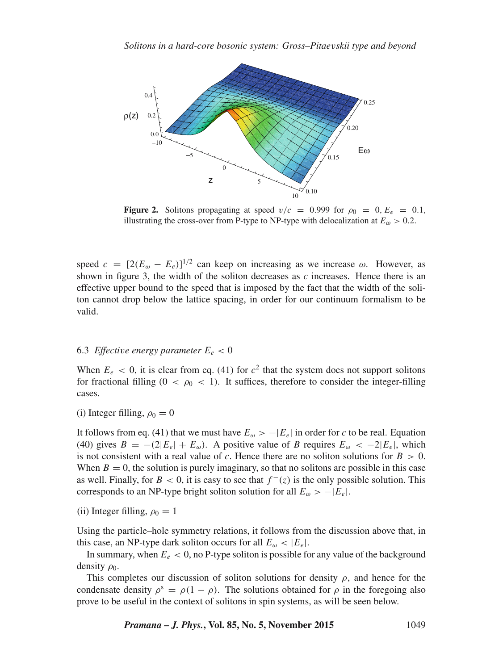

**Figure 2.** Solitons propagating at speed  $v/c = 0.999$  for  $\rho_0 = 0, E_e = 0.1$ , illustrating the cross-over from P-type to NP-type with delocalization at  $E_{\omega} > 0.2$ .

speed  $c = [2(E_{\omega} - E_e)]^{1/2}$  can keep on increasing as we increase  $\omega$ . However, as shown in figure 3, the width of the soliton decreases as c increases. Hence there is an effective upper bound to the speed that is imposed by the fact that the width of the soliton cannot drop below the lattice spacing, in order for our continuum formalism to be valid.

# 6.3 *Effective energy parameter*  $E_e < 0$

When  $E_e$  < 0, it is clear from eq. (41) for  $c^2$  that the system does not support solitons for fractional filling  $(0 < \rho_0 < 1)$ . It suffices, therefore to consider the integer-filling cases.

(i) Integer filling,  $\rho_0 = 0$ 

It follows from eq. (41) that we must have  $E_{\omega} > -|E_e|$  in order for c to be real. Equation (40) gives  $B = -(2|E_e| + E_\omega)$ . A positive value of B requires  $E_\omega < -2|E_e|$ , which is not consistent with a real value of c. Hence there are no soliton solutions for  $B > 0$ . When  $B = 0$ , the solution is purely imaginary, so that no solitons are possible in this case as well. Finally, for  $B < 0$ , it is easy to see that  $f^{-}(z)$  is the only possible solution. This corresponds to an NP-type bright soliton solution for all  $E_{\omega} > -|E_e|$ .

(ii) Integer filling,  $\rho_0 = 1$ 

Using the particle–hole symmetry relations, it follows from the discussion above that, in this case, an NP-type dark soliton occurs for all  $E_{\omega} < |E_e|$ .

In summary, when  $E_e < 0$ , no P-type soliton is possible for any value of the background density  $\rho_0$ .

This completes our discussion of soliton solutions for density  $\rho$ , and hence for the condensate density  $\rho^s = \rho(1 - \rho)$ . The solutions obtained for  $\rho$  in the foregoing also prove to be useful in the context of solitons in spin systems, as will be seen below.

*Pramana – J. Phys.***, Vol. 85, No. 5, November 2015** 1049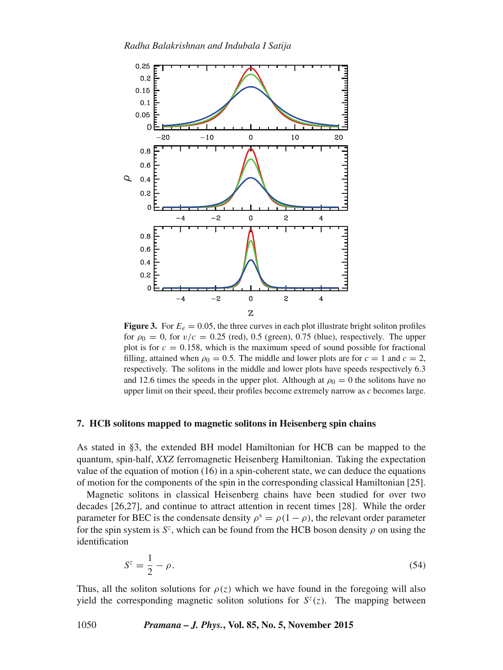

**Figure 3.** For  $E_e = 0.05$ , the three curves in each plot illustrate bright soliton profiles for  $\rho_0 = 0$ , for  $v/c = 0.25$  (red), 0.5 (green), 0.75 (blue), respectively. The upper plot is for  $c = 0.158$ , which is the maximum speed of sound possible for fractional filling, attained when  $\rho_0 = 0.5$ . The middle and lower plots are for  $c = 1$  and  $c = 2$ , respectively. The solitons in the middle and lower plots have speeds respectively 6.3 and 12.6 times the speeds in the upper plot. Although at  $\rho_0 = 0$  the solitons have no upper limit on their speed, their profiles become extremely narrow as  $c$  becomes large.

# **7. HCB solitons mapped to magnetic solitons in Heisenberg spin chains**

As stated in §3, the extended BH model Hamiltonian for HCB can be mapped to the quantum, spin-half, *XXZ* ferromagnetic Heisenberg Hamiltonian. Taking the expectation value of the equation of motion (16) in a spin-coherent state, we can deduce the equations of motion for the components of the spin in the corresponding classical Hamiltonian [25].

Magnetic solitons in classical Heisenberg chains have been studied for over two decades [26,27], and continue to attract attention in recent times [28]. While the order parameter for BEC is the condensate density  $\rho^s = \rho(1-\rho)$ , the relevant order parameter for the spin system is  $S^z$ , which can be found from the HCB boson density  $\rho$  on using the identification

$$
S^z = \frac{1}{2} - \rho. \tag{54}
$$

Thus, all the soliton solutions for  $\rho(z)$  which we have found in the foregoing will also yield the corresponding magnetic soliton solutions for  $S<sup>z</sup>(z)$ . The mapping between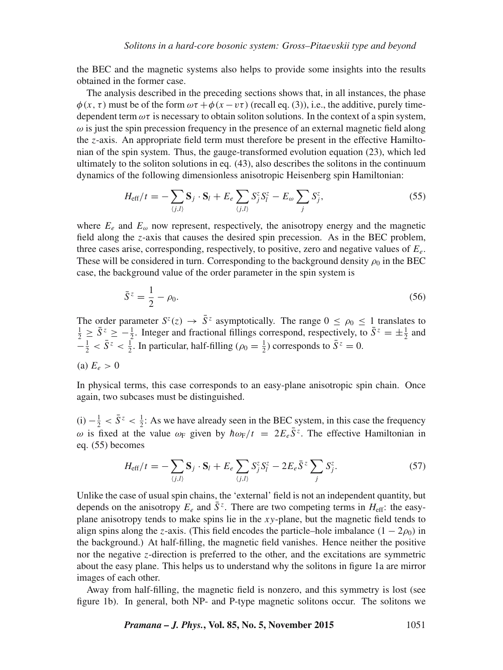the BEC and the magnetic systems also helps to provide some insights into the results obtained in the former case.

The analysis described in the preceding sections shows that, in all instances, the phase  $\phi(x, \tau)$  must be of the form  $\omega\tau + \phi(x - \nu\tau)$  (recall eq. (3)), i.e., the additive, purely timedependent term  $\omega\tau$  is necessary to obtain soliton solutions. In the context of a spin system,  $\omega$  is just the spin precession frequency in the presence of an external magnetic field along the z-axis. An appropriate field term must therefore be present in the effective Hamiltonian of the spin system. Thus, the gauge-transformed evolution equation (23), which led ultimately to the soliton solutions in eq. (43), also describes the solitons in the continuum dynamics of the following dimensionless anisotropic Heisenberg spin Hamiltonian:

$$
H_{\text{eff}}/t = -\sum_{\langle j,l\rangle} \mathbf{S}_j \cdot \mathbf{S}_l + E_e \sum_{\langle j,l\rangle} S_j^z S_l^z - E_\omega \sum_j S_j^z,\tag{55}
$$

where  $E_e$  and  $E_\omega$  now represent, respectively, the anisotropy energy and the magnetic field along the z-axis that causes the desired spin precession. As in the BEC problem, three cases arise, corresponding, respectively, to positive, zero and negative values of  $E_e$ . These will be considered in turn. Corresponding to the background density  $\rho_0$  in the BEC case, the background value of the order parameter in the spin system is

$$
\bar{S}^z = \frac{1}{2} - \rho_0. \tag{56}
$$

The order parameter  $S^{z}(z) \rightarrow \overline{S}^{z}$  asymptotically. The range  $0 \leq \rho_0 \leq 1$  translates to  $\frac{1}{2} \ge \bar{S}^z \ge -\frac{1}{2}$ . Integer and fractional fillings correspond, respectively, to  $\bar{S}^z = \pm \frac{1}{2}$  and  $-\frac{1}{2} < \bar{S}^z < \frac{1}{2}$ . In particular, half-filling ( $\rho_0 = \frac{1}{2}$ ) corresponds to  $\bar{S}^z = 0$ .

(a)  $E_e > 0$ 

In physical terms, this case corresponds to an easy-plane anisotropic spin chain. Once again, two subcases must be distinguished.

(i)  $-\frac{1}{2} < \bar{S}^z < \frac{1}{2}$ : As we have already seen in the BEC system, in this case the frequency  $ω$  is fixed at the value  $ω_F$  given by  $\hbar ω_F/t = 2E_e\bar{S}^z$ . The effective Hamiltonian in eq. (55) becomes

$$
H_{\text{eff}}/t = -\sum_{\langle j,l\rangle} \mathbf{S}_j \cdot \mathbf{S}_l + E_e \sum_{\langle j,l\rangle} S_j^z S_l^z - 2E_e \bar{S}^z \sum_j S_j^z. \tag{57}
$$

Unlike the case of usual spin chains, the 'external' field is not an independent quantity, but depends on the anisotropy  $E_e$  and  $\bar{S}^z$ . There are two competing terms in  $H_{\text{eff}}$ : the easyplane anisotropy tends to make spins lie in the  $xy$ -plane, but the magnetic field tends to align spins along the z-axis. (This field encodes the particle–hole imbalance  $(1 - 2\rho_0)$  in the background.) At half-filling, the magnetic field vanishes. Hence neither the positive nor the negative z-direction is preferred to the other, and the excitations are symmetric about the easy plane. This helps us to understand why the solitons in figure 1a are mirror images of each other.

Away from half-filling, the magnetic field is nonzero, and this symmetry is lost (see figure 1b). In general, both NP- and P-type magnetic solitons occur. The solitons we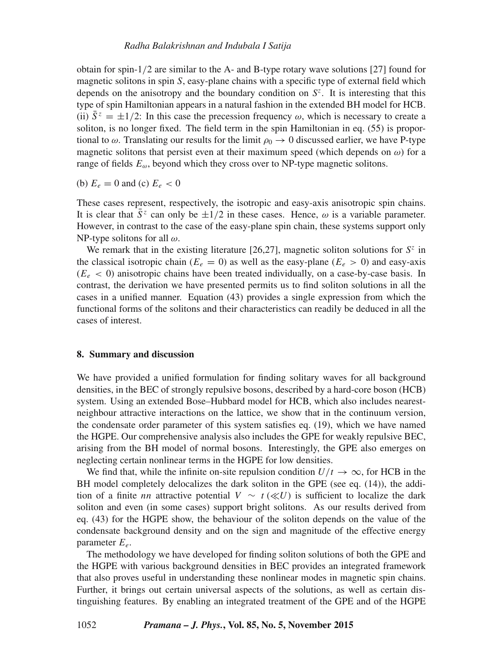obtain for spin-1/2 are similar to the A- and B-type rotary wave solutions [27] found for magnetic solitons in spin S, easy-plane chains with a specific type of external field which depends on the anisotropy and the boundary condition on  $S<sup>z</sup>$ . It is interesting that this type of spin Hamiltonian appears in a natural fashion in the extended BH model for HCB. (ii)  $\bar{S}^z = \pm 1/2$ : In this case the precession frequency  $\omega$ , which is necessary to create a soliton, is no longer fixed. The field term in the spin Hamiltonian in eq. (55) is proportional to  $\omega$ . Translating our results for the limit  $\rho_0 \rightarrow 0$  discussed earlier, we have P-type magnetic solitons that persist even at their maximum speed (which depends on  $\omega$ ) for a range of fields  $E_{\omega}$ , beyond which they cross over to NP-type magnetic solitons.

(b)  $E_e = 0$  and (c)  $E_e < 0$ 

These cases represent, respectively, the isotropic and easy-axis anisotropic spin chains. It is clear that  $\overline{S}^z$  can only be  $\pm 1/2$  in these cases. Hence,  $\omega$  is a variable parameter. However, in contrast to the case of the easy-plane spin chain, these systems support only NP-type solitons for all  $\omega$ .

We remark that in the existing literature [26,27], magnetic soliton solutions for  $S^z$  in the classical isotropic chain ( $E_e = 0$ ) as well as the easy-plane ( $E_e > 0$ ) and easy-axis  $(E_e < 0)$  anisotropic chains have been treated individually, on a case-by-case basis. In contrast, the derivation we have presented permits us to find soliton solutions in all the cases in a unified manner. Equation (43) provides a single expression from which the functional forms of the solitons and their characteristics can readily be deduced in all the cases of interest.

# **8. Summary and discussion**

We have provided a unified formulation for finding solitary waves for all background densities, in the BEC of strongly repulsive bosons, described by a hard-core boson (HCB) system. Using an extended Bose–Hubbard model for HCB, which also includes nearestneighbour attractive interactions on the lattice, we show that in the continuum version, the condensate order parameter of this system satisfies eq. (19), which we have named the HGPE. Our comprehensive analysis also includes the GPE for weakly repulsive BEC, arising from the BH model of normal bosons. Interestingly, the GPE also emerges on neglecting certain nonlinear terms in the HGPE for low densities.

We find that, while the infinite on-site repulsion condition  $U/t \to \infty$ , for HCB in the BH model completely delocalizes the dark soliton in the GPE (see eq. (14)), the addition of a finite nn attractive potential  $V \sim t \left(\ll U\right)$  is sufficient to localize the dark soliton and even (in some cases) support bright solitons. As our results derived from eq. (43) for the HGPE show, the behaviour of the soliton depends on the value of the condensate background density and on the sign and magnitude of the effective energy parameter  $E_e$ .

The methodology we have developed for finding soliton solutions of both the GPE and the HGPE with various background densities in BEC provides an integrated framework that also proves useful in understanding these nonlinear modes in magnetic spin chains. Further, it brings out certain universal aspects of the solutions, as well as certain distinguishing features. By enabling an integrated treatment of the GPE and of the HGPE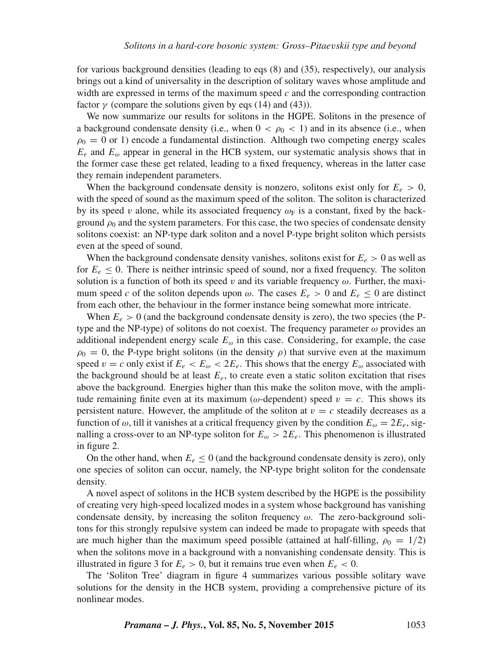for various background densities (leading to eqs (8) and (35), respectively), our analysis brings out a kind of universality in the description of solitary waves whose amplitude and width are expressed in terms of the maximum speed  $c$  and the corresponding contraction factor  $\gamma$  (compare the solutions given by eqs (14) and (43)).

We now summarize our results for solitons in the HGPE. Solitons in the presence of a background condensate density (i.e., when  $0 < \rho_0 < 1$ ) and in its absence (i.e., when  $\rho_0 = 0$  or 1) encode a fundamental distinction. Although two competing energy scales  $E_e$  and  $E_\omega$  appear in general in the HCB system, our systematic analysis shows that in the former case these get related, leading to a fixed frequency, whereas in the latter case they remain independent parameters.

When the background condensate density is nonzero, solitons exist only for  $E_e > 0$ , with the speed of sound as the maximum speed of the soliton. The soliton is characterized by its speed v alone, while its associated frequency  $\omega_F$  is a constant, fixed by the background  $\rho_0$  and the system parameters. For this case, the two species of condensate density solitons coexist: an NP-type dark soliton and a novel P-type bright soliton which persists even at the speed of sound.

When the background condensate density vanishes, solitons exist for  $E_e > 0$  as well as for  $E_e \leq 0$ . There is neither intrinsic speed of sound, nor a fixed frequency. The soliton solution is a function of both its speed v and its variable frequency  $\omega$ . Further, the maximum speed c of the soliton depends upon  $\omega$ . The cases  $E_e > 0$  and  $E_e \le 0$  are distinct from each other, the behaviour in the former instance being somewhat more intricate.

When  $E_e > 0$  (and the background condensate density is zero), the two species (the Ptype and the NP-type) of solitons do not coexist. The frequency parameter  $\omega$  provides an additional independent energy scale  $E_{\omega}$  in this case. Considering, for example, the case  $\rho_0 = 0$ , the P-type bright solitons (in the density  $\rho$ ) that survive even at the maximum speed  $v = c$  only exist if  $E_e < E_\omega < 2E_e$ . This shows that the energy  $E_\omega$  associated with the background should be at least  $E_e$ , to create even a static soliton excitation that rises above the background. Energies higher than this make the soliton move, with the amplitude remaining finite even at its maximum ( $\omega$ -dependent) speed  $v = c$ . This shows its persistent nature. However, the amplitude of the soliton at  $v = c$  steadily decreases as a function of  $\omega$ , till it vanishes at a critical frequency given by the condition  $E_{\omega} = 2E_e$ , signalling a cross-over to an NP-type soliton for  $E_{\omega} > 2E_e$ . This phenomenon is illustrated in figure 2.

On the other hand, when  $E_e \le 0$  (and the background condensate density is zero), only one species of soliton can occur, namely, the NP-type bright soliton for the condensate density.

A novel aspect of solitons in the HCB system described by the HGPE is the possibility of creating very high-speed localized modes in a system whose background has vanishing condensate density, by increasing the soliton frequency  $\omega$ . The zero-background solitons for this strongly repulsive system can indeed be made to propagate with speeds that are much higher than the maximum speed possible (attained at half-filling,  $\rho_0 = 1/2$ ) when the solitons move in a background with a nonvanishing condensate density. This is illustrated in figure 3 for  $E_e > 0$ , but it remains true even when  $E_e < 0$ .

The 'Soliton Tree' diagram in figure 4 summarizes various possible solitary wave solutions for the density in the HCB system, providing a comprehensive picture of its nonlinear modes.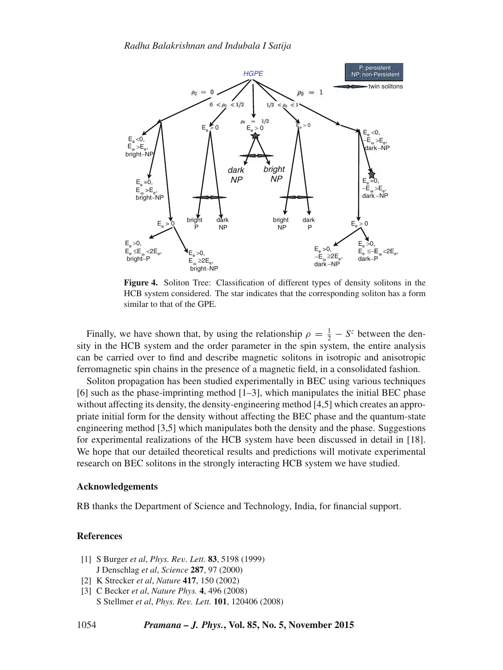

**Figure 4.** Soliton Tree: Classification of different types of density solitons in the HCB system considered. The star indicates that the corresponding soliton has a form similar to that of the GPE.

Finally, we have shown that, by using the relationship  $\rho = \frac{1}{2} - S^z$  between the density in the HCB system and the order parameter in the spin system, the entire analysis can be carried over to find and describe magnetic solitons in isotropic and anisotropic ferromagnetic spin chains in the presence of a magnetic field, in a consolidated fashion.

Soliton propagation has been studied experimentally in BEC using various techniques [6] such as the phase-imprinting method [1–3], which manipulates the initial BEC phase without affecting its density, the density-engineering method [4,5] which creates an appropriate initial form for the density without affecting the BEC phase and the quantum-state engineering method [3,5] which manipulates both the density and the phase. Suggestions for experimental realizations of the HCB system have been discussed in detail in [18]. We hope that our detailed theoretical results and predictions will motivate experimental research on BEC solitons in the strongly interacting HCB system we have studied.

#### **Acknowledgements**

RB thanks the Department of Science and Technology, India, for financial support.

# **References**

- [1] S Burger *et al*, *Phys. Re*v*. Lett.* **83**, 5198 (1999) J Denschlag *et al*, *Science* **287**, 97 (2000)
- [2] K Strecker *et al*, *Nature* **417**, 150 (2002)
- [3] C Becker *et al*, *Nature Phys.* **4**, 496 (2008) S Stellmer *et al*, *Phys. Re*v*. Lett.* **101**, 120406 (2008)